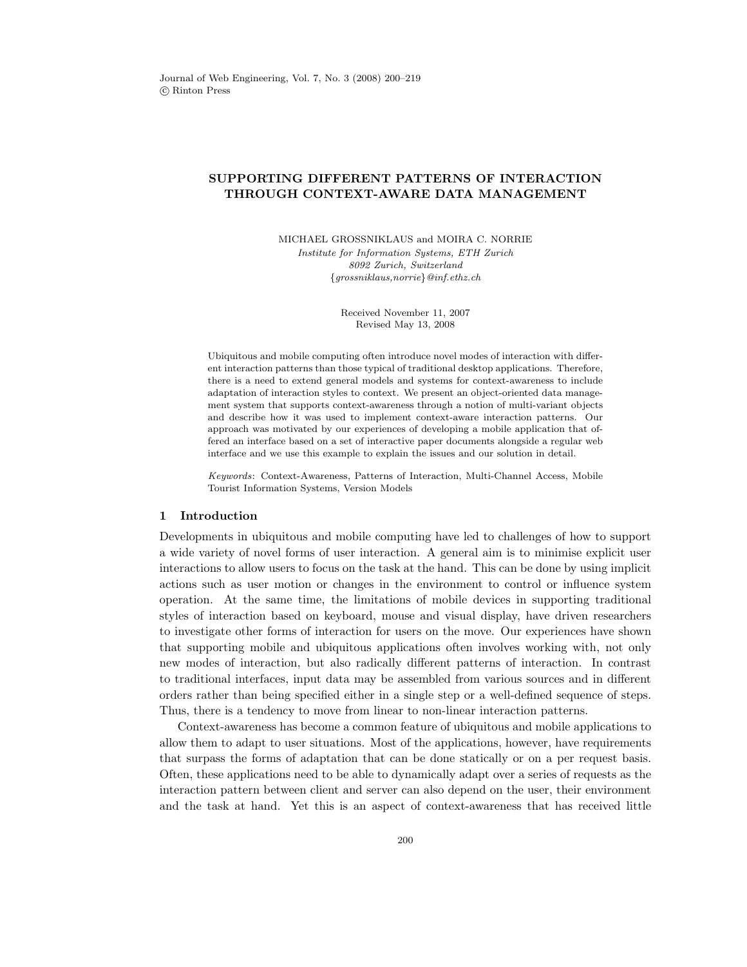# SUPPORTING DIFFERENT PATTERNS OF INTERACTION THROUGH CONTEXT-AWARE DATA MANAGEMENT

MICHAEL GROSSNIKLAUS and MOIRA C. NORRIE Institute for Information Systems, ETH Zurich 8092 Zurich, Switzerland {grossniklaus,norrie}@inf.ethz.ch

> Received November 11, 2007 Revised May 13, 2008

Ubiquitous and mobile computing often introduce novel modes of interaction with different interaction patterns than those typical of traditional desktop applications. Therefore, there is a need to extend general models and systems for context-awareness to include adaptation of interaction styles to context. We present an object-oriented data management system that supports context-awareness through a notion of multi-variant objects and describe how it was used to implement context-aware interaction patterns. Our approach was motivated by our experiences of developing a mobile application that offered an interface based on a set of interactive paper documents alongside a regular web interface and we use this example to explain the issues and our solution in detail.

Keywords: Context-Awareness, Patterns of Interaction, Multi-Channel Access, Mobile Tourist Information Systems, Version Models

### 1 Introduction

Developments in ubiquitous and mobile computing have led to challenges of how to support a wide variety of novel forms of user interaction. A general aim is to minimise explicit user interactions to allow users to focus on the task at the hand. This can be done by using implicit actions such as user motion or changes in the environment to control or influence system operation. At the same time, the limitations of mobile devices in supporting traditional styles of interaction based on keyboard, mouse and visual display, have driven researchers to investigate other forms of interaction for users on the move. Our experiences have shown that supporting mobile and ubiquitous applications often involves working with, not only new modes of interaction, but also radically different patterns of interaction. In contrast to traditional interfaces, input data may be assembled from various sources and in different orders rather than being specified either in a single step or a well-defined sequence of steps. Thus, there is a tendency to move from linear to non-linear interaction patterns.

Context-awareness has become a common feature of ubiquitous and mobile applications to allow them to adapt to user situations. Most of the applications, however, have requirements that surpass the forms of adaptation that can be done statically or on a per request basis. Often, these applications need to be able to dynamically adapt over a series of requests as the interaction pattern between client and server can also depend on the user, their environment and the task at hand. Yet this is an aspect of context-awareness that has received little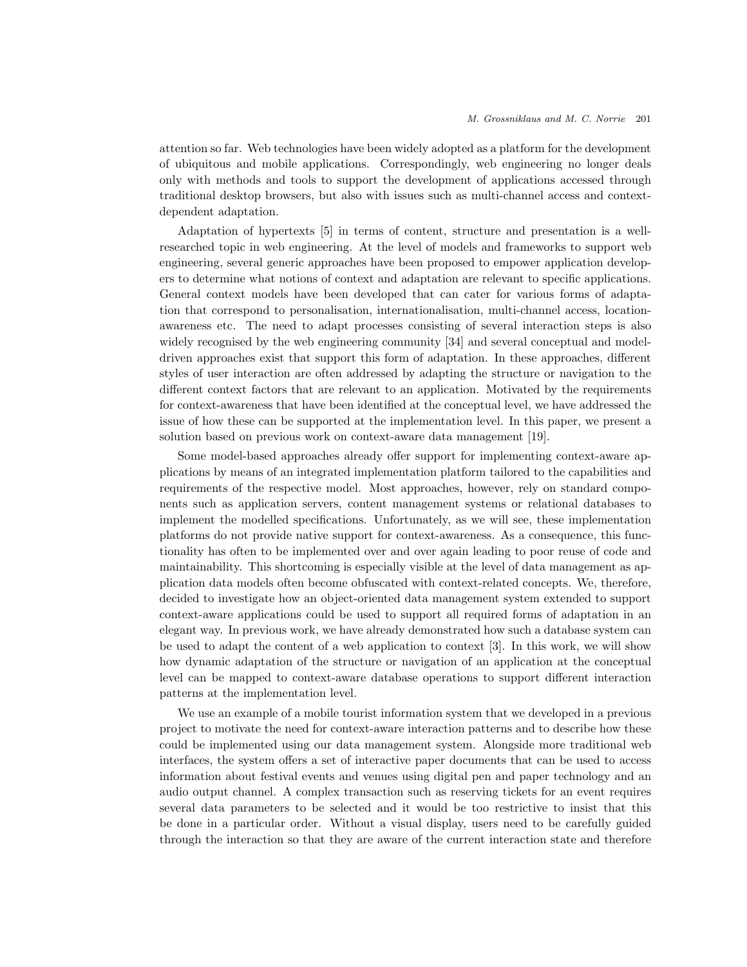attention so far. Web technologies have been widely adopted as a platform for the development of ubiquitous and mobile applications. Correspondingly, web engineering no longer deals only with methods and tools to support the development of applications accessed through traditional desktop browsers, but also with issues such as multi-channel access and contextdependent adaptation.

Adaptation of hypertexts [5] in terms of content, structure and presentation is a wellresearched topic in web engineering. At the level of models and frameworks to support web engineering, several generic approaches have been proposed to empower application developers to determine what notions of context and adaptation are relevant to specific applications. General context models have been developed that can cater for various forms of adaptation that correspond to personalisation, internationalisation, multi-channel access, locationawareness etc. The need to adapt processes consisting of several interaction steps is also widely recognised by the web engineering community [34] and several conceptual and modeldriven approaches exist that support this form of adaptation. In these approaches, different styles of user interaction are often addressed by adapting the structure or navigation to the different context factors that are relevant to an application. Motivated by the requirements for context-awareness that have been identified at the conceptual level, we have addressed the issue of how these can be supported at the implementation level. In this paper, we present a solution based on previous work on context-aware data management [19].

Some model-based approaches already offer support for implementing context-aware applications by means of an integrated implementation platform tailored to the capabilities and requirements of the respective model. Most approaches, however, rely on standard components such as application servers, content management systems or relational databases to implement the modelled specifications. Unfortunately, as we will see, these implementation platforms do not provide native support for context-awareness. As a consequence, this functionality has often to be implemented over and over again leading to poor reuse of code and maintainability. This shortcoming is especially visible at the level of data management as application data models often become obfuscated with context-related concepts. We, therefore, decided to investigate how an object-oriented data management system extended to support context-aware applications could be used to support all required forms of adaptation in an elegant way. In previous work, we have already demonstrated how such a database system can be used to adapt the content of a web application to context [3]. In this work, we will show how dynamic adaptation of the structure or navigation of an application at the conceptual level can be mapped to context-aware database operations to support different interaction patterns at the implementation level.

We use an example of a mobile tourist information system that we developed in a previous project to motivate the need for context-aware interaction patterns and to describe how these could be implemented using our data management system. Alongside more traditional web interfaces, the system offers a set of interactive paper documents that can be used to access information about festival events and venues using digital pen and paper technology and an audio output channel. A complex transaction such as reserving tickets for an event requires several data parameters to be selected and it would be too restrictive to insist that this be done in a particular order. Without a visual display, users need to be carefully guided through the interaction so that they are aware of the current interaction state and therefore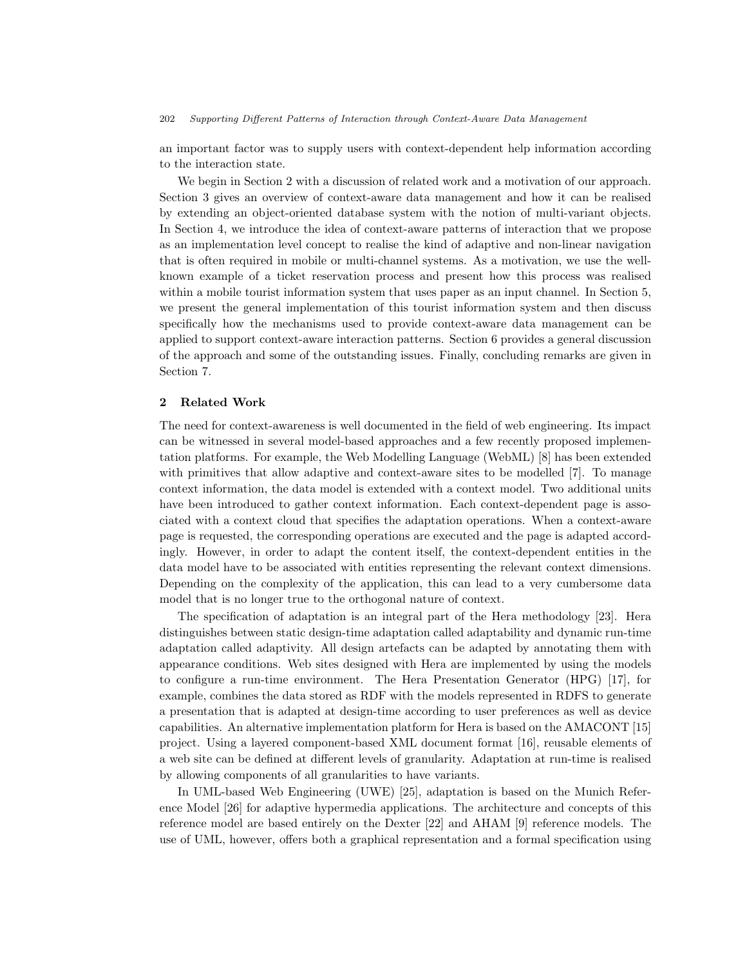an important factor was to supply users with context-dependent help information according to the interaction state.

We begin in Section 2 with a discussion of related work and a motivation of our approach. Section 3 gives an overview of context-aware data management and how it can be realised by extending an object-oriented database system with the notion of multi-variant objects. In Section 4, we introduce the idea of context-aware patterns of interaction that we propose as an implementation level concept to realise the kind of adaptive and non-linear navigation that is often required in mobile or multi-channel systems. As a motivation, we use the wellknown example of a ticket reservation process and present how this process was realised within a mobile tourist information system that uses paper as an input channel. In Section 5, we present the general implementation of this tourist information system and then discuss specifically how the mechanisms used to provide context-aware data management can be applied to support context-aware interaction patterns. Section 6 provides a general discussion of the approach and some of the outstanding issues. Finally, concluding remarks are given in Section 7.

## 2 Related Work

The need for context-awareness is well documented in the field of web engineering. Its impact can be witnessed in several model-based approaches and a few recently proposed implementation platforms. For example, the Web Modelling Language (WebML) [8] has been extended with primitives that allow adaptive and context-aware sites to be modelled [7]. To manage context information, the data model is extended with a context model. Two additional units have been introduced to gather context information. Each context-dependent page is associated with a context cloud that specifies the adaptation operations. When a context-aware page is requested, the corresponding operations are executed and the page is adapted accordingly. However, in order to adapt the content itself, the context-dependent entities in the data model have to be associated with entities representing the relevant context dimensions. Depending on the complexity of the application, this can lead to a very cumbersome data model that is no longer true to the orthogonal nature of context.

The specification of adaptation is an integral part of the Hera methodology [23]. Hera distinguishes between static design-time adaptation called adaptability and dynamic run-time adaptation called adaptivity. All design artefacts can be adapted by annotating them with appearance conditions. Web sites designed with Hera are implemented by using the models to configure a run-time environment. The Hera Presentation Generator (HPG) [17], for example, combines the data stored as RDF with the models represented in RDFS to generate a presentation that is adapted at design-time according to user preferences as well as device capabilities. An alternative implementation platform for Hera is based on the AMACONT [15] project. Using a layered component-based XML document format [16], reusable elements of a web site can be defined at different levels of granularity. Adaptation at run-time is realised by allowing components of all granularities to have variants.

In UML-based Web Engineering (UWE) [25], adaptation is based on the Munich Reference Model [26] for adaptive hypermedia applications. The architecture and concepts of this reference model are based entirely on the Dexter [22] and AHAM [9] reference models. The use of UML, however, offers both a graphical representation and a formal specification using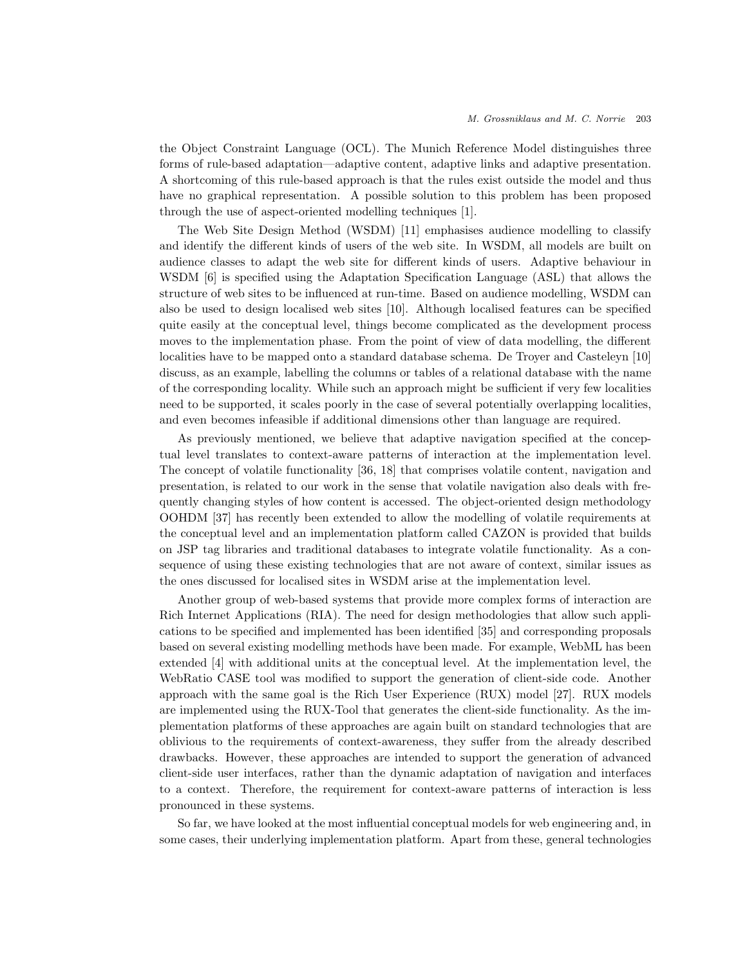the Object Constraint Language (OCL). The Munich Reference Model distinguishes three forms of rule-based adaptation—adaptive content, adaptive links and adaptive presentation. A shortcoming of this rule-based approach is that the rules exist outside the model and thus have no graphical representation. A possible solution to this problem has been proposed through the use of aspect-oriented modelling techniques [1].

The Web Site Design Method (WSDM) [11] emphasises audience modelling to classify and identify the different kinds of users of the web site. In WSDM, all models are built on audience classes to adapt the web site for different kinds of users. Adaptive behaviour in WSDM [6] is specified using the Adaptation Specification Language (ASL) that allows the structure of web sites to be influenced at run-time. Based on audience modelling, WSDM can also be used to design localised web sites [10]. Although localised features can be specified quite easily at the conceptual level, things become complicated as the development process moves to the implementation phase. From the point of view of data modelling, the different localities have to be mapped onto a standard database schema. De Troyer and Casteleyn [10] discuss, as an example, labelling the columns or tables of a relational database with the name of the corresponding locality. While such an approach might be sufficient if very few localities need to be supported, it scales poorly in the case of several potentially overlapping localities, and even becomes infeasible if additional dimensions other than language are required.

As previously mentioned, we believe that adaptive navigation specified at the conceptual level translates to context-aware patterns of interaction at the implementation level. The concept of volatile functionality [36, 18] that comprises volatile content, navigation and presentation, is related to our work in the sense that volatile navigation also deals with frequently changing styles of how content is accessed. The object-oriented design methodology OOHDM [37] has recently been extended to allow the modelling of volatile requirements at the conceptual level and an implementation platform called CAZON is provided that builds on JSP tag libraries and traditional databases to integrate volatile functionality. As a consequence of using these existing technologies that are not aware of context, similar issues as the ones discussed for localised sites in WSDM arise at the implementation level.

Another group of web-based systems that provide more complex forms of interaction are Rich Internet Applications (RIA). The need for design methodologies that allow such applications to be specified and implemented has been identified [35] and corresponding proposals based on several existing modelling methods have been made. For example, WebML has been extended [4] with additional units at the conceptual level. At the implementation level, the WebRatio CASE tool was modified to support the generation of client-side code. Another approach with the same goal is the Rich User Experience (RUX) model [27]. RUX models are implemented using the RUX-Tool that generates the client-side functionality. As the implementation platforms of these approaches are again built on standard technologies that are oblivious to the requirements of context-awareness, they suffer from the already described drawbacks. However, these approaches are intended to support the generation of advanced client-side user interfaces, rather than the dynamic adaptation of navigation and interfaces to a context. Therefore, the requirement for context-aware patterns of interaction is less pronounced in these systems.

So far, we have looked at the most influential conceptual models for web engineering and, in some cases, their underlying implementation platform. Apart from these, general technologies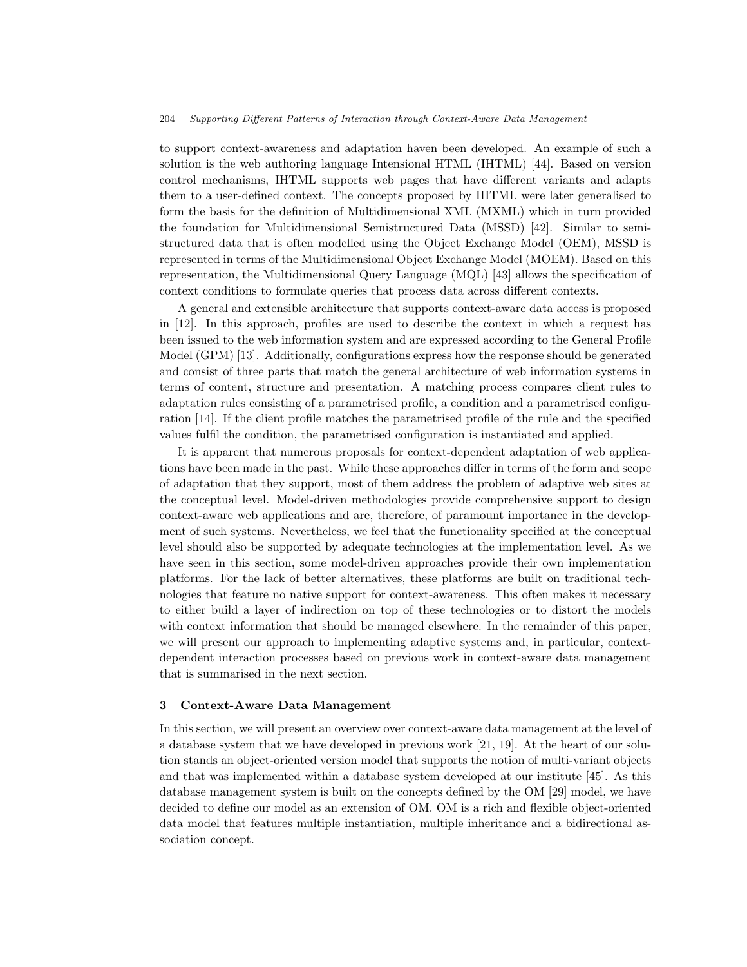to support context-awareness and adaptation haven been developed. An example of such a solution is the web authoring language Intensional HTML (IHTML) [44]. Based on version control mechanisms, IHTML supports web pages that have different variants and adapts them to a user-defined context. The concepts proposed by IHTML were later generalised to form the basis for the definition of Multidimensional XML (MXML) which in turn provided the foundation for Multidimensional Semistructured Data (MSSD) [42]. Similar to semistructured data that is often modelled using the Object Exchange Model (OEM), MSSD is represented in terms of the Multidimensional Object Exchange Model (MOEM). Based on this representation, the Multidimensional Query Language (MQL) [43] allows the specification of context conditions to formulate queries that process data across different contexts.

A general and extensible architecture that supports context-aware data access is proposed in [12]. In this approach, profiles are used to describe the context in which a request has been issued to the web information system and are expressed according to the General Profile Model (GPM) [13]. Additionally, configurations express how the response should be generated and consist of three parts that match the general architecture of web information systems in terms of content, structure and presentation. A matching process compares client rules to adaptation rules consisting of a parametrised profile, a condition and a parametrised configuration [14]. If the client profile matches the parametrised profile of the rule and the specified values fulfil the condition, the parametrised configuration is instantiated and applied.

It is apparent that numerous proposals for context-dependent adaptation of web applications have been made in the past. While these approaches differ in terms of the form and scope of adaptation that they support, most of them address the problem of adaptive web sites at the conceptual level. Model-driven methodologies provide comprehensive support to design context-aware web applications and are, therefore, of paramount importance in the development of such systems. Nevertheless, we feel that the functionality specified at the conceptual level should also be supported by adequate technologies at the implementation level. As we have seen in this section, some model-driven approaches provide their own implementation platforms. For the lack of better alternatives, these platforms are built on traditional technologies that feature no native support for context-awareness. This often makes it necessary to either build a layer of indirection on top of these technologies or to distort the models with context information that should be managed elsewhere. In the remainder of this paper, we will present our approach to implementing adaptive systems and, in particular, contextdependent interaction processes based on previous work in context-aware data management that is summarised in the next section.

### 3 Context-Aware Data Management

In this section, we will present an overview over context-aware data management at the level of a database system that we have developed in previous work [21, 19]. At the heart of our solution stands an object-oriented version model that supports the notion of multi-variant objects and that was implemented within a database system developed at our institute [45]. As this database management system is built on the concepts defined by the OM [29] model, we have decided to define our model as an extension of OM. OM is a rich and flexible object-oriented data model that features multiple instantiation, multiple inheritance and a bidirectional association concept.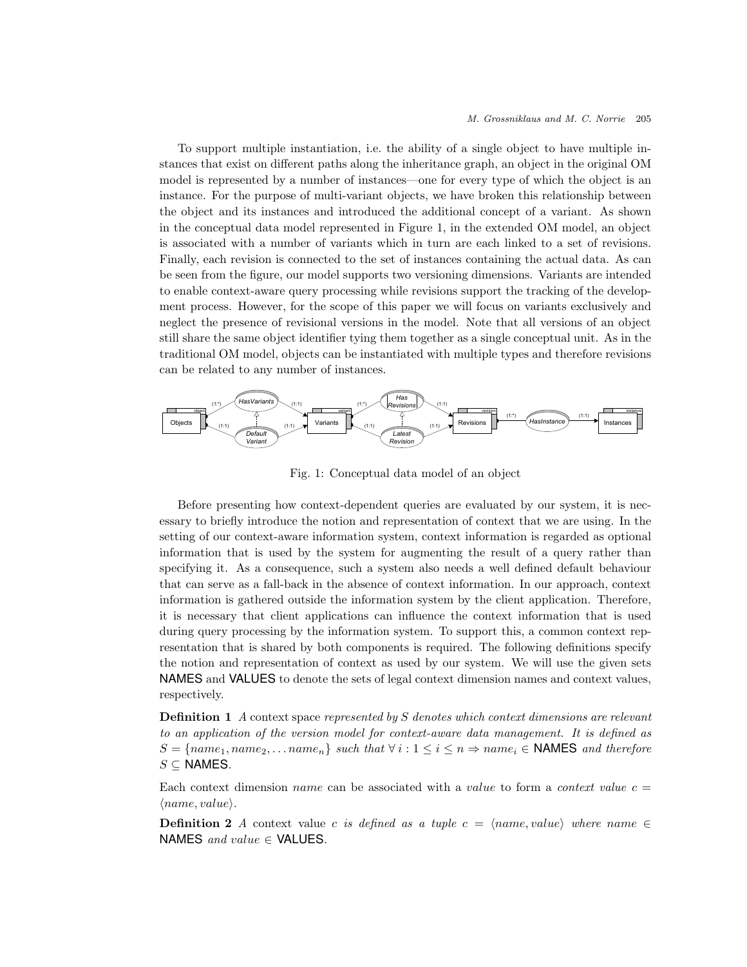To support multiple instantiation, i.e. the ability of a single object to have multiple instances that exist on different paths along the inheritance graph, an object in the original OM model is represented by a number of instances—one for every type of which the object is an instance. For the purpose of multi-variant objects, we have broken this relationship between the object and its instances and introduced the additional concept of a variant. As shown in the conceptual data model represented in Figure 1, in the extended OM model, an object is associated with a number of variants which in turn are each linked to a set of revisions. Finally, each revision is connected to the set of instances containing the actual data. As can be seen from the figure, our model supports two versioning dimensions. Variants are intended to enable context-aware query processing while revisions support the tracking of the development process. However, for the scope of this paper we will focus on variants exclusively and neglect the presence of revisional versions in the model. Note that all versions of an object still share the same object identifier tying them together as a single conceptual unit. As in the traditional OM model, objects can be instantiated with multiple types and therefore revisions can be related to any number of instances.



Fig. 1: Conceptual data model of an object

Before presenting how context-dependent queries are evaluated by our system, it is necessary to briefly introduce the notion and representation of context that we are using. In the setting of our context-aware information system, context information is regarded as optional information that is used by the system for augmenting the result of a query rather than specifying it. As a consequence, such a system also needs a well defined default behaviour that can serve as a fall-back in the absence of context information. In our approach, context information is gathered outside the information system by the client application. Therefore, it is necessary that client applications can influence the context information that is used during query processing by the information system. To support this, a common context representation that is shared by both components is required. The following definitions specify the notion and representation of context as used by our system. We will use the given sets NAMES and VALUES to denote the sets of legal context dimension names and context values, respectively.

**Definition 1** A context space represented by S denotes which context dimensions are relevant to an application of the version model for context-aware data management. It is defined as  $S = \{name_1, name_2, \ldots name_n\}$  such that  $\forall i : 1 \leq i \leq n \Rightarrow name_i \in \mathsf{NAMES}$  and therefore  $S \subseteq$  NAMES.

Each context dimension *name* can be associated with a value to form a *context value*  $c =$  $\langle name, value \rangle$ .

**Definition 2** A context value c is defined as a tuple c =  $\langle name, value \rangle$  where name  $\in$ NAMES and value  $\in$  VALUES.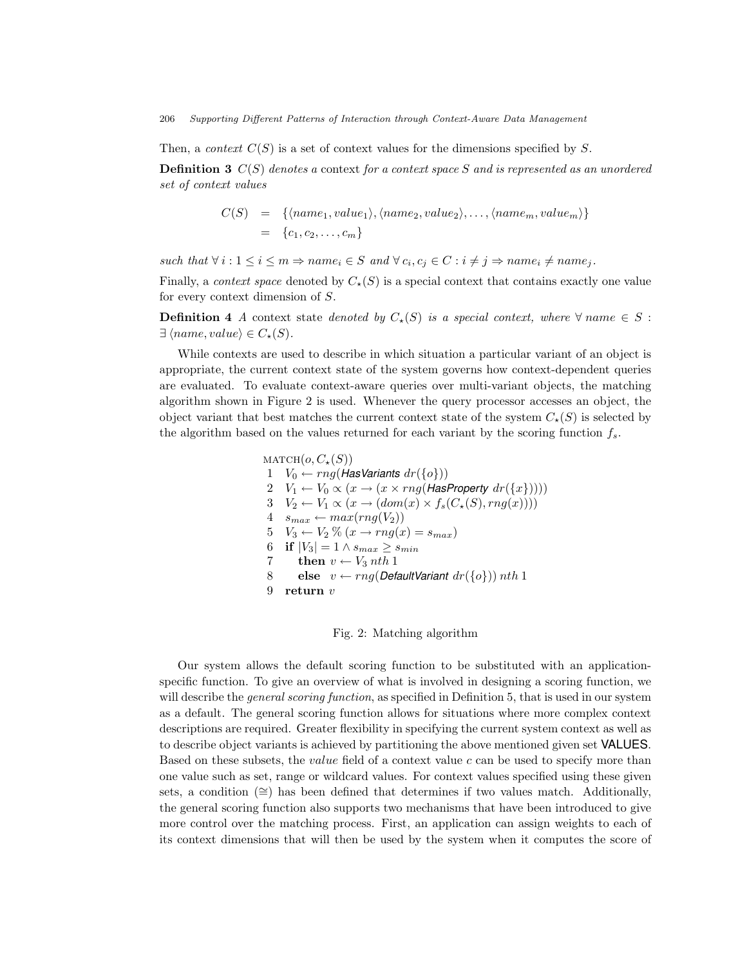Then, a *context*  $C(S)$  is a set of context values for the dimensions specified by S.

**Definition 3**  $C(S)$  denotes a context for a context space S and is represented as an unordered set of context values

$$
C(S) = \{ \langle name_1, value_1 \rangle, \langle name_2, value_2 \rangle, \dots, \langle name_m, value_m \rangle \}
$$
  
=  $\{c_1, c_2, \dots, c_m\}$ 

such that  $\forall i : 1 \leq i \leq m \Rightarrow name_i \in S \text{ and } \forall c_i, c_j \in C : i \neq j \Rightarrow name_i \neq name_j.$ 

Finally, a *context space* denoted by  $C_{\star}(S)$  is a special context that contains exactly one value for every context dimension of S.

**Definition 4** A context state denoted by  $C_{\star}(S)$  is a special context, where  $\forall$  name  $\in$  S:  $\exists \langle name, value \rangle \in C_{\star}(S).$ 

While contexts are used to describe in which situation a particular variant of an object is appropriate, the current context state of the system governs how context-dependent queries are evaluated. To evaluate context-aware queries over multi-variant objects, the matching algorithm shown in Figure 2 is used. Whenever the query processor accesses an object, the object variant that best matches the current context state of the system  $C_{\star}(S)$  is selected by the algorithm based on the values returned for each variant by the scoring function  $f_s$ .

> $MATCH(o, C_{\star}(S))$ 1  $V_0 \leftarrow rng(\text{HasVariants } dr(\{o\}))$ 2  $V_1 \leftarrow V_0 \propto (x \rightarrow (x \times rng(\text{HasProperty } dr(\lbrace x \rbrace))))$ 3  $V_2 \leftarrow V_1 \propto (x \rightarrow (dom(x) \times f_s(C_{\star}(S), rng(x))))$  $4 \quad s_{max} \leftarrow max(rng(V_2))$ 5  $V_3 \leftarrow V_2 \% (x \rightarrow rng(x) = s_{max})$ 6 if  $|V_3| = 1 \wedge s_{max} \geq s_{min}$ 7 then  $v \leftarrow V_3$  nth 1 8 else  $v \leftarrow rng(\textit{DefaultVariant} dr(\lbrace o \rbrace)) nth 1$ 9 return v

#### Fig. 2: Matching algorithm

Our system allows the default scoring function to be substituted with an applicationspecific function. To give an overview of what is involved in designing a scoring function, we will describe the *general scoring function*, as specified in Definition 5, that is used in our system as a default. The general scoring function allows for situations where more complex context descriptions are required. Greater flexibility in specifying the current system context as well as to describe object variants is achieved by partitioning the above mentioned given set VALUES. Based on these subsets, the *value* field of a context value  $c$  can be used to specify more than one value such as set, range or wildcard values. For context values specified using these given sets, a condition (≅) has been defined that determines if two values match. Additionally, the general scoring function also supports two mechanisms that have been introduced to give more control over the matching process. First, an application can assign weights to each of its context dimensions that will then be used by the system when it computes the score of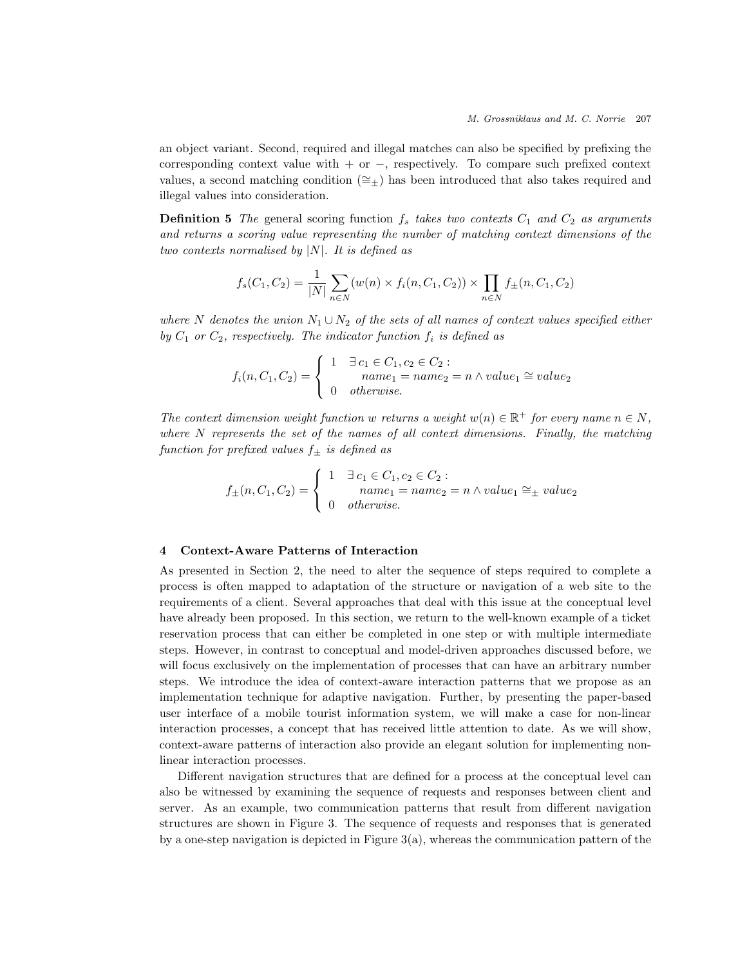an object variant. Second, required and illegal matches can also be specified by prefixing the corresponding context value with  $+$  or  $-$ , respectively. To compare such prefixed context values, a second matching condition ( $\cong_{\pm}$ ) has been introduced that also takes required and illegal values into consideration.

**Definition 5** The general scoring function  $f_s$  takes two contexts  $C_1$  and  $C_2$  as arguments and returns a scoring value representing the number of matching context dimensions of the two contexts normalised by  $|N|$ . It is defined as

$$
f_s(C_1, C_2) = \frac{1}{|N|} \sum_{n \in N} (w(n) \times f_i(n, C_1, C_2)) \times \prod_{n \in N} f_{\pm}(n, C_1, C_2)
$$

where N denotes the union  $N_1 \cup N_2$  of the sets of all names of context values specified either by  $C_1$  or  $C_2$ , respectively. The indicator function  $f_i$  is defined as

$$
f_i(n, C_1, C_2) = \begin{cases} 1 & \exists c_1 \in C_1, c_2 \in C_2 : \\ name_1 = name_2 = n \land value_1 \cong value_2 \\ 0 & otherwise. \end{cases}
$$

The context dimension weight function w returns a weight  $w(n) \in \mathbb{R}^+$  for every name  $n \in N$ , where  $N$  represents the set of the names of all context dimensions. Finally, the matching function for prefixed values  $f_{\pm}$  is defined as

$$
f_{\pm}(n, C_1, C_2) = \begin{cases} 1 & \exists c_1 \in C_1, c_2 \in C_2 : \\ name_1 = name_2 = n \land value_1 \cong_{\pm} value_2 \\ 0 & otherwise. \end{cases}
$$

# 4 Context-Aware Patterns of Interaction

As presented in Section 2, the need to alter the sequence of steps required to complete a process is often mapped to adaptation of the structure or navigation of a web site to the requirements of a client. Several approaches that deal with this issue at the conceptual level have already been proposed. In this section, we return to the well-known example of a ticket reservation process that can either be completed in one step or with multiple intermediate steps. However, in contrast to conceptual and model-driven approaches discussed before, we will focus exclusively on the implementation of processes that can have an arbitrary number steps. We introduce the idea of context-aware interaction patterns that we propose as an implementation technique for adaptive navigation. Further, by presenting the paper-based user interface of a mobile tourist information system, we will make a case for non-linear interaction processes, a concept that has received little attention to date. As we will show, context-aware patterns of interaction also provide an elegant solution for implementing nonlinear interaction processes.

Different navigation structures that are defined for a process at the conceptual level can also be witnessed by examining the sequence of requests and responses between client and server. As an example, two communication patterns that result from different navigation structures are shown in Figure 3. The sequence of requests and responses that is generated by a one-step navigation is depicted in Figure 3(a), whereas the communication pattern of the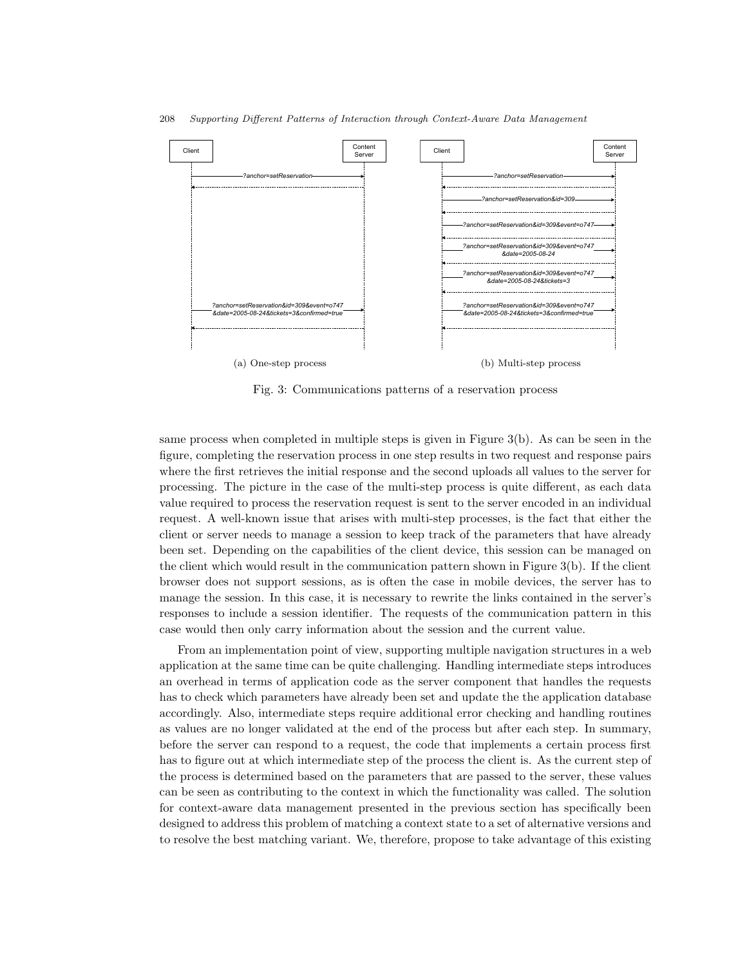

Fig. 3: Communications patterns of a reservation process

same process when completed in multiple steps is given in Figure 3(b). As can be seen in the figure, completing the reservation process in one step results in two request and response pairs where the first retrieves the initial response and the second uploads all values to the server for processing. The picture in the case of the multi-step process is quite different, as each data value required to process the reservation request is sent to the server encoded in an individual request. A well-known issue that arises with multi-step processes, is the fact that either the client or server needs to manage a session to keep track of the parameters that have already been set. Depending on the capabilities of the client device, this session can be managed on the client which would result in the communication pattern shown in Figure 3(b). If the client browser does not support sessions, as is often the case in mobile devices, the server has to manage the session. In this case, it is necessary to rewrite the links contained in the server's responses to include a session identifier. The requests of the communication pattern in this case would then only carry information about the session and the current value.

From an implementation point of view, supporting multiple navigation structures in a web application at the same time can be quite challenging. Handling intermediate steps introduces an overhead in terms of application code as the server component that handles the requests has to check which parameters have already been set and update the the application database accordingly. Also, intermediate steps require additional error checking and handling routines as values are no longer validated at the end of the process but after each step. In summary, before the server can respond to a request, the code that implements a certain process first has to figure out at which intermediate step of the process the client is. As the current step of the process is determined based on the parameters that are passed to the server, these values can be seen as contributing to the context in which the functionality was called. The solution for context-aware data management presented in the previous section has specifically been designed to address this problem of matching a context state to a set of alternative versions and to resolve the best matching variant. We, therefore, propose to take advantage of this existing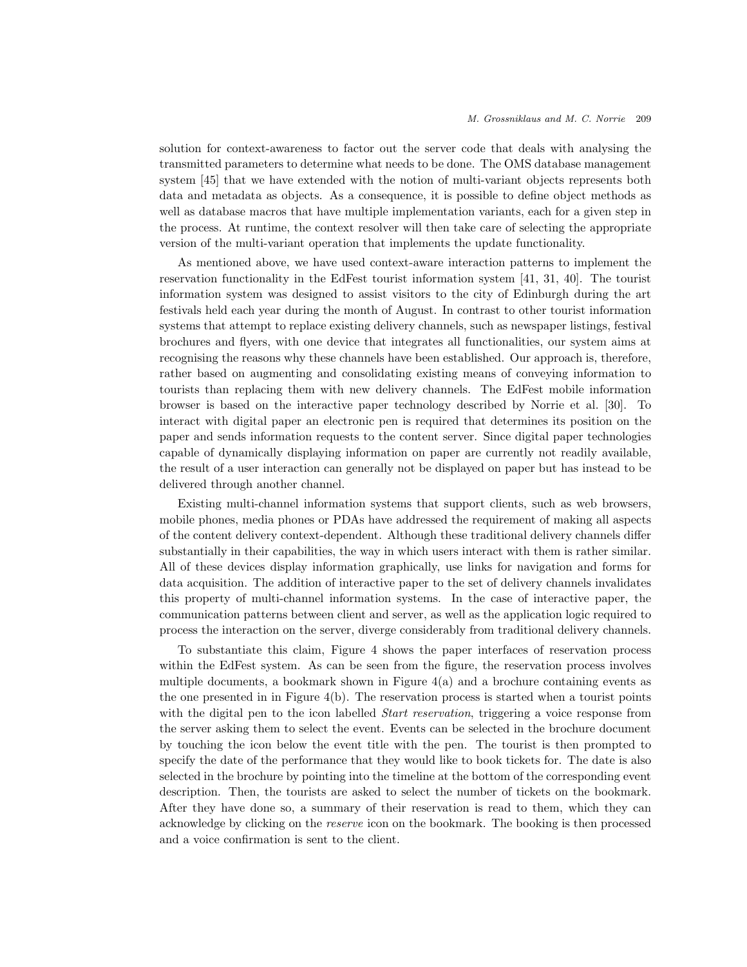solution for context-awareness to factor out the server code that deals with analysing the transmitted parameters to determine what needs to be done. The OMS database management system [45] that we have extended with the notion of multi-variant objects represents both data and metadata as objects. As a consequence, it is possible to define object methods as well as database macros that have multiple implementation variants, each for a given step in the process. At runtime, the context resolver will then take care of selecting the appropriate version of the multi-variant operation that implements the update functionality.

As mentioned above, we have used context-aware interaction patterns to implement the reservation functionality in the EdFest tourist information system [41, 31, 40]. The tourist information system was designed to assist visitors to the city of Edinburgh during the art festivals held each year during the month of August. In contrast to other tourist information systems that attempt to replace existing delivery channels, such as newspaper listings, festival brochures and flyers, with one device that integrates all functionalities, our system aims at recognising the reasons why these channels have been established. Our approach is, therefore, rather based on augmenting and consolidating existing means of conveying information to tourists than replacing them with new delivery channels. The EdFest mobile information browser is based on the interactive paper technology described by Norrie et al. [30]. To interact with digital paper an electronic pen is required that determines its position on the paper and sends information requests to the content server. Since digital paper technologies capable of dynamically displaying information on paper are currently not readily available, the result of a user interaction can generally not be displayed on paper but has instead to be delivered through another channel.

Existing multi-channel information systems that support clients, such as web browsers, mobile phones, media phones or PDAs have addressed the requirement of making all aspects of the content delivery context-dependent. Although these traditional delivery channels differ substantially in their capabilities, the way in which users interact with them is rather similar. All of these devices display information graphically, use links for navigation and forms for data acquisition. The addition of interactive paper to the set of delivery channels invalidates this property of multi-channel information systems. In the case of interactive paper, the communication patterns between client and server, as well as the application logic required to process the interaction on the server, diverge considerably from traditional delivery channels.

To substantiate this claim, Figure 4 shows the paper interfaces of reservation process within the EdFest system. As can be seen from the figure, the reservation process involves multiple documents, a bookmark shown in Figure  $4(a)$  and a brochure containing events as the one presented in in Figure 4(b). The reservation process is started when a tourist points with the digital pen to the icon labelled *Start reservation*, triggering a voice response from the server asking them to select the event. Events can be selected in the brochure document by touching the icon below the event title with the pen. The tourist is then prompted to specify the date of the performance that they would like to book tickets for. The date is also selected in the brochure by pointing into the timeline at the bottom of the corresponding event description. Then, the tourists are asked to select the number of tickets on the bookmark. After they have done so, a summary of their reservation is read to them, which they can acknowledge by clicking on the reserve icon on the bookmark. The booking is then processed and a voice confirmation is sent to the client.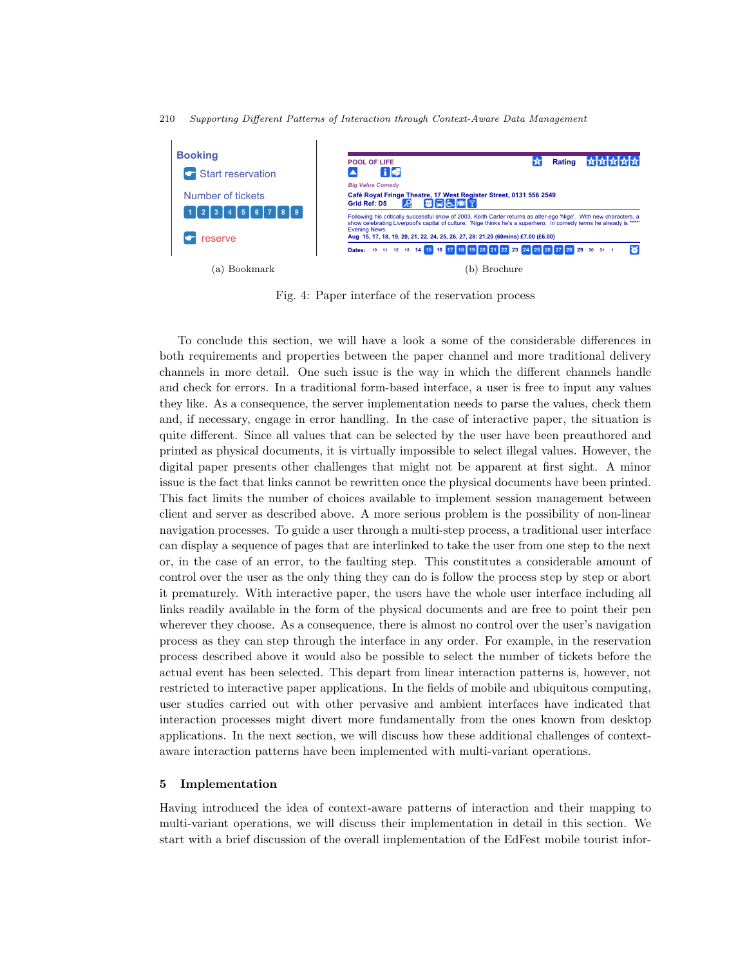

Fig. 4: Paper interface of the reservation process

To conclude this section, we will have a look a some of the considerable differences in both requirements and properties between the paper channel and more traditional delivery channels in more detail. One such issue is the way in which the different channels handle and check for errors. In a traditional form-based interface, a user is free to input any values they like. As a consequence, the server implementation needs to parse the values, check them and, if necessary, engage in error handling. In the case of interactive paper, the situation is quite different. Since all values that can be selected by the user have been preauthored and printed as physical documents, it is virtually impossible to select illegal values. However, the digital paper presents other challenges that might not be apparent at first sight. A minor issue is the fact that links cannot be rewritten once the physical documents have been printed. This fact limits the number of choices available to implement session management between client and server as described above. A more serious problem is the possibility of non-linear navigation processes. To guide a user through a multi-step process, a traditional user interface can display a sequence of pages that are interlinked to take the user from one step to the next or, in the case of an error, to the faulting step. This constitutes a considerable amount of control over the user as the only thing they can do is follow the process step by step or abort it prematurely. With interactive paper, the users have the whole user interface including all links readily available in the form of the physical documents and are free to point their pen wherever they choose. As a consequence, there is almost no control over the user's navigation process as they can step through the interface in any order. For example, in the reservation process described above it would also be possible to select the number of tickets before the actual event has been selected. This depart from linear interaction patterns is, however, not restricted to interactive paper applications. In the fields of mobile and ubiquitous computing, user studies carried out with other pervasive and ambient interfaces have indicated that interaction processes might divert more fundamentally from the ones known from desktop applications. In the next section, we will discuss how these additional challenges of contextaware interaction patterns have been implemented with multi-variant operations.

## 5 Implementation

Having introduced the idea of context-aware patterns of interaction and their mapping to multi-variant operations, we will discuss their implementation in detail in this section. We start with a brief discussion of the overall implementation of the EdFest mobile tourist infor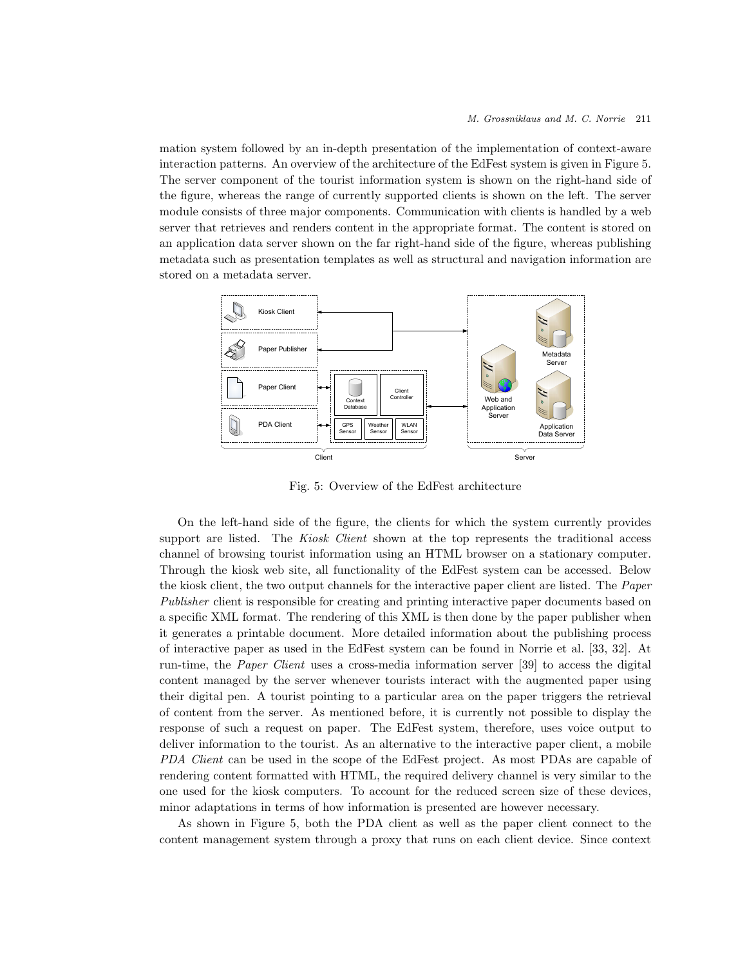mation system followed by an in-depth presentation of the implementation of context-aware interaction patterns. An overview of the architecture of the EdFest system is given in Figure 5. The server component of the tourist information system is shown on the right-hand side of the figure, whereas the range of currently supported clients is shown on the left. The server module consists of three major components. Communication with clients is handled by a web server that retrieves and renders content in the appropriate format. The content is stored on an application data server shown on the far right-hand side of the figure, whereas publishing metadata such as presentation templates as well as structural and navigation information are stored on a metadata server.



Fig. 5: Overview of the EdFest architecture

On the left-hand side of the figure, the clients for which the system currently provides support are listed. The Kiosk Client shown at the top represents the traditional access channel of browsing tourist information using an HTML browser on a stationary computer. Through the kiosk web site, all functionality of the EdFest system can be accessed. Below the kiosk client, the two output channels for the interactive paper client are listed. The Paper Publisher client is responsible for creating and printing interactive paper documents based on a specific XML format. The rendering of this XML is then done by the paper publisher when it generates a printable document. More detailed information about the publishing process of interactive paper as used in the EdFest system can be found in Norrie et al. [33, 32]. At run-time, the Paper Client uses a cross-media information server [39] to access the digital content managed by the server whenever tourists interact with the augmented paper using their digital pen. A tourist pointing to a particular area on the paper triggers the retrieval of content from the server. As mentioned before, it is currently not possible to display the response of such a request on paper. The EdFest system, therefore, uses voice output to deliver information to the tourist. As an alternative to the interactive paper client, a mobile PDA Client can be used in the scope of the EdFest project. As most PDAs are capable of rendering content formatted with HTML, the required delivery channel is very similar to the one used for the kiosk computers. To account for the reduced screen size of these devices, minor adaptations in terms of how information is presented are however necessary.

As shown in Figure 5, both the PDA client as well as the paper client connect to the content management system through a proxy that runs on each client device. Since context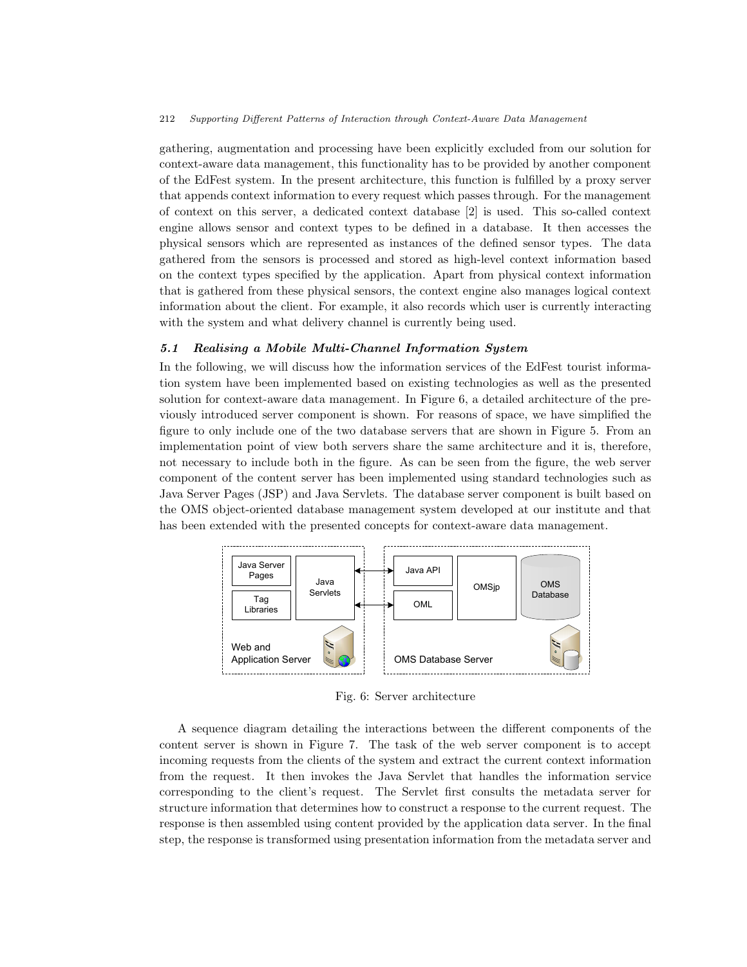gathering, augmentation and processing have been explicitly excluded from our solution for context-aware data management, this functionality has to be provided by another component of the EdFest system. In the present architecture, this function is fulfilled by a proxy server that appends context information to every request which passes through. For the management of context on this server, a dedicated context database [2] is used. This so-called context engine allows sensor and context types to be defined in a database. It then accesses the physical sensors which are represented as instances of the defined sensor types. The data gathered from the sensors is processed and stored as high-level context information based on the context types specified by the application. Apart from physical context information that is gathered from these physical sensors, the context engine also manages logical context information about the client. For example, it also records which user is currently interacting with the system and what delivery channel is currently being used.

## 5.1 Realising a Mobile Multi-Channel Information System

In the following, we will discuss how the information services of the EdFest tourist information system have been implemented based on existing technologies as well as the presented solution for context-aware data management. In Figure 6, a detailed architecture of the previously introduced server component is shown. For reasons of space, we have simplified the figure to only include one of the two database servers that are shown in Figure 5. From an implementation point of view both servers share the same architecture and it is, therefore, not necessary to include both in the figure. As can be seen from the figure, the web server component of the content server has been implemented using standard technologies such as Java Server Pages (JSP) and Java Servlets. The database server component is built based on the OMS object-oriented database management system developed at our institute and that has been extended with the presented concepts for context-aware data management.



Fig. 6: Server architecture

A sequence diagram detailing the interactions between the different components of the content server is shown in Figure 7. The task of the web server component is to accept incoming requests from the clients of the system and extract the current context information from the request. It then invokes the Java Servlet that handles the information service corresponding to the client's request. The Servlet first consults the metadata server for structure information that determines how to construct a response to the current request. The response is then assembled using content provided by the application data server. In the final step, the response is transformed using presentation information from the metadata server and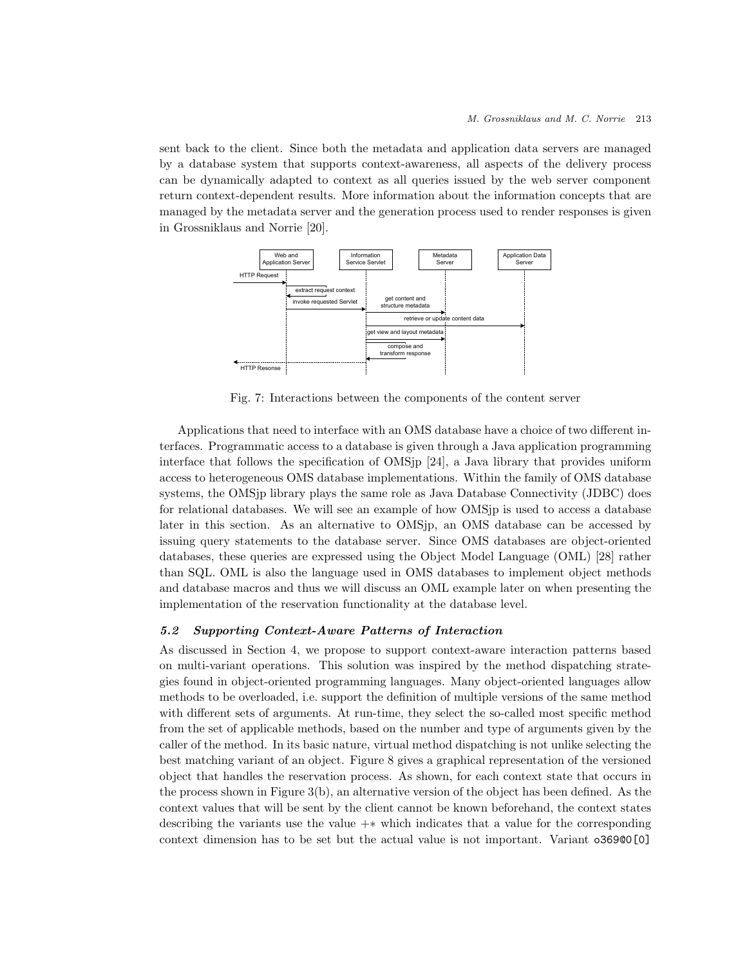sent back to the client. Since both the metadata and application data servers are managed by a database system that supports context-awareness, all aspects of the delivery process can be dynamically adapted to context as all queries issued by the web server component return context-dependent results. More information about the information concepts that are managed by the metadata server and the generation process used to render responses is given in Grossniklaus and Norrie [20].



Fig. 7: Interactions between the components of the content server

Applications that need to interface with an OMS database have a choice of two different interfaces. Programmatic access to a database is given through a Java application programming interface that follows the specification of OMSjp [24], a Java library that provides uniform access to heterogeneous OMS database implementations. Within the family of OMS database systems, the OMSjp library plays the same role as Java Database Connectivity (JDBC) does for relational databases. We will see an example of how OMSjp is used to access a database later in this section. As an alternative to OMSjp, an OMS database can be accessed by issuing query statements to the database server. Since OMS databases are object-oriented databases, these queries are expressed using the Object Model Language (OML) [28] rather than SQL. OML is also the language used in OMS databases to implement object methods and database macros and thus we will discuss an OML example later on when presenting the implementation of the reservation functionality at the database level.

# 5.2 Supporting Context-Aware Patterns of Interaction

As discussed in Section 4, we propose to support context-aware interaction patterns based on multi-variant operations. This solution was inspired by the method dispatching strategies found in object-oriented programming languages. Many object-oriented languages allow methods to be overloaded, i.e. support the definition of multiple versions of the same method with different sets of arguments. At run-time, they select the so-called most specific method from the set of applicable methods, based on the number and type of arguments given by the caller of the method. In its basic nature, virtual method dispatching is not unlike selecting the best matching variant of an object. Figure 8 gives a graphical representation of the versioned object that handles the reservation process. As shown, for each context state that occurs in the process shown in Figure  $3(b)$ , an alternative version of the object has been defined. As the context values that will be sent by the client cannot be known beforehand, the context states describing the variants use the value  $+\ast$  which indicates that a value for the corresponding context dimension has to be set but the actual value is not important. Variant o369@0[0]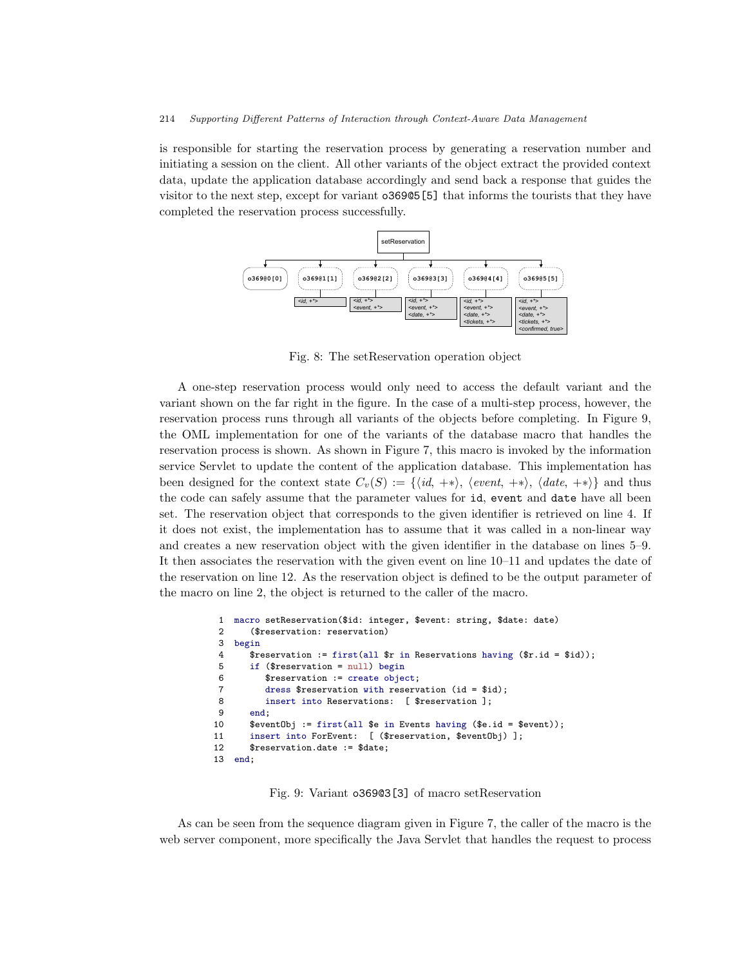is responsible for starting the reservation process by generating a reservation number and initiating a session on the client. All other variants of the object extract the provided context data, update the application database accordingly and send back a response that guides the visitor to the next step, except for variant o369@5[5] that informs the tourists that they have completed the reservation process successfully.



Fig. 8: The setReservation operation object

A one-step reservation process would only need to access the default variant and the variant shown on the far right in the figure. In the case of a multi-step process, however, the reservation process runs through all variants of the objects before completing. In Figure 9, the OML implementation for one of the variants of the database macro that handles the reservation process is shown. As shown in Figure 7, this macro is invoked by the information service Servlet to update the content of the application database. This implementation has been designed for the context state  $C_v(S) := \{ \langle id, +*\rangle, \langle event, +*\rangle, \langle date, +*\rangle \}$  and thus the code can safely assume that the parameter values for id, event and date have all been set. The reservation object that corresponds to the given identifier is retrieved on line 4. If it does not exist, the implementation has to assume that it was called in a non-linear way and creates a new reservation object with the given identifier in the database on lines 5–9. It then associates the reservation with the given event on line 10–11 and updates the date of the reservation on line 12. As the reservation object is defined to be the output parameter of the macro on line 2, the object is returned to the caller of the macro.

```
1 macro setReservation($id: integer, $event: string, $date: date)
       ($reservation: reservation)
3 begin
 4 $reservation := first(all $r in Reservations having ($r.id = $id));
5 if ($reservation = null) begin<br>6 $reservation := create obje
         $reservation := create object;
7 dress $reservation with reservation (id = $id);
8 insert into Reservations: [ $reservation ];
9 end;
10 $eventObj := first(all $e in Events having ($e.id = $event));
11 insert into ForEvent: [ ($reservation, $eventObj) ];
12 $reservation.date := $date;
13 end;
```
Fig. 9: Variant o369@3[3] of macro setReservation

As can be seen from the sequence diagram given in Figure 7, the caller of the macro is the web server component, more specifically the Java Servlet that handles the request to process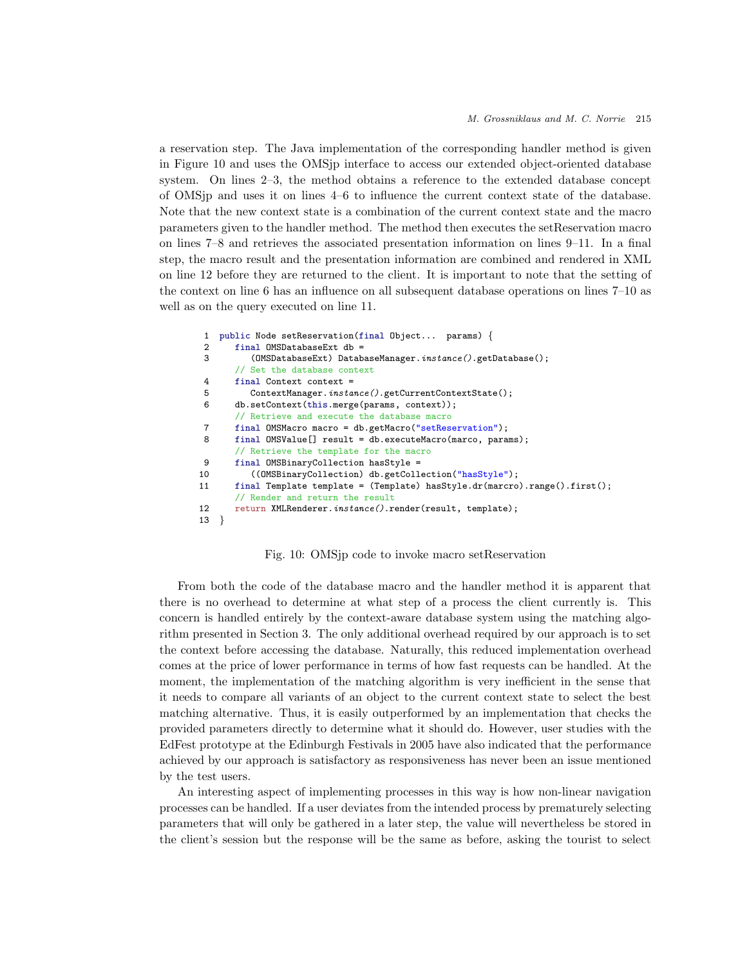a reservation step. The Java implementation of the corresponding handler method is given in Figure 10 and uses the OMSjp interface to access our extended object-oriented database system. On lines 2–3, the method obtains a reference to the extended database concept of OMSjp and uses it on lines 4–6 to influence the current context state of the database. Note that the new context state is a combination of the current context state and the macro parameters given to the handler method. The method then executes the setReservation macro on lines 7–8 and retrieves the associated presentation information on lines 9–11. In a final step, the macro result and the presentation information are combined and rendered in XML on line 12 before they are returned to the client. It is important to note that the setting of the context on line 6 has an influence on all subsequent database operations on lines 7–10 as well as on the query executed on line 11.

```
1 public Node setReservation(final Object... params) {
2 final OMSDatabaseExt db =<br>3 (OMSDatabaseExt) Datab
          (0MSDatabaseExt) DatabaseManager.instance().getDatabase();
       // Set the database context
4 final Context context =
5 ContextManager.instance().getCurrentContextState();
6 db.setContext(this.merge(params, context));
       // Retrieve and execute the database macro
7 final OMSMacro macro = db.getMacro("setReservation");<br>8 final OMSValue[] result = db.executeMacro(marco, para
       final OMSValue[] result = db.executeMacro(marco, params);
       // Retrieve the template for the macro
9 final OMSBinaryCollection hasStyle =
10 ((OMSBinaryCollection) db.getCollection("hasStyle");
11 final Template template = (Template) hasStyle.dr(marcro).range().first();
       // Render and return the result
12 return XMLRenderer.instance().render(result, template);
13 }
```
### Fig. 10: OMSjp code to invoke macro setReservation

From both the code of the database macro and the handler method it is apparent that there is no overhead to determine at what step of a process the client currently is. This concern is handled entirely by the context-aware database system using the matching algorithm presented in Section 3. The only additional overhead required by our approach is to set the context before accessing the database. Naturally, this reduced implementation overhead comes at the price of lower performance in terms of how fast requests can be handled. At the moment, the implementation of the matching algorithm is very inefficient in the sense that it needs to compare all variants of an object to the current context state to select the best matching alternative. Thus, it is easily outperformed by an implementation that checks the provided parameters directly to determine what it should do. However, user studies with the EdFest prototype at the Edinburgh Festivals in 2005 have also indicated that the performance achieved by our approach is satisfactory as responsiveness has never been an issue mentioned by the test users.

An interesting aspect of implementing processes in this way is how non-linear navigation processes can be handled. If a user deviates from the intended process by prematurely selecting parameters that will only be gathered in a later step, the value will nevertheless be stored in the client's session but the response will be the same as before, asking the tourist to select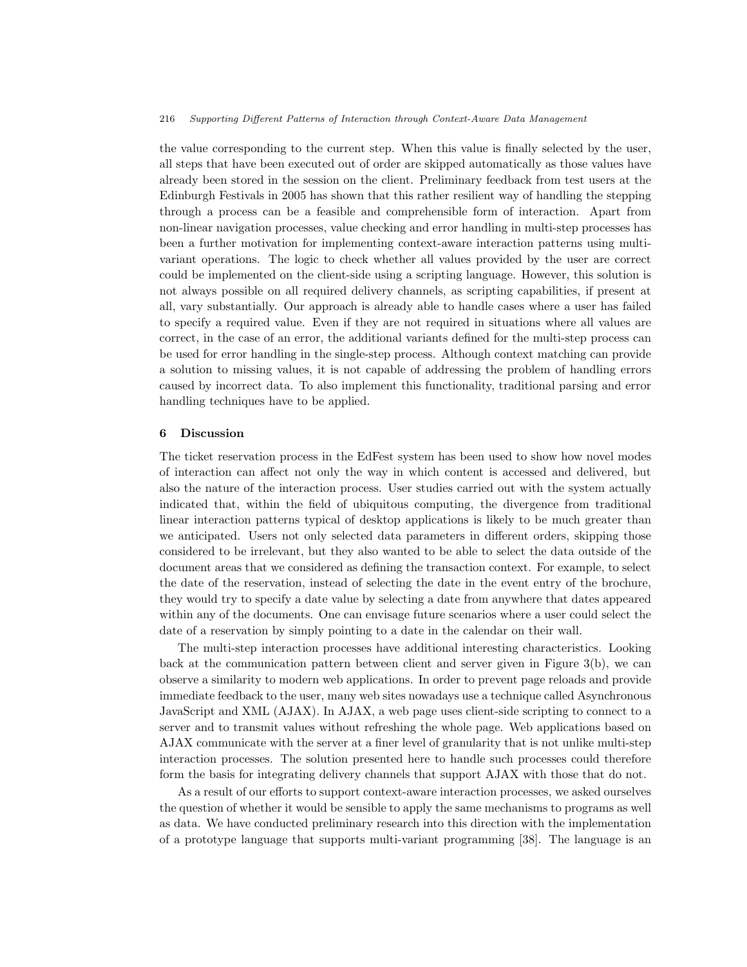the value corresponding to the current step. When this value is finally selected by the user, all steps that have been executed out of order are skipped automatically as those values have already been stored in the session on the client. Preliminary feedback from test users at the Edinburgh Festivals in 2005 has shown that this rather resilient way of handling the stepping through a process can be a feasible and comprehensible form of interaction. Apart from non-linear navigation processes, value checking and error handling in multi-step processes has been a further motivation for implementing context-aware interaction patterns using multivariant operations. The logic to check whether all values provided by the user are correct could be implemented on the client-side using a scripting language. However, this solution is not always possible on all required delivery channels, as scripting capabilities, if present at all, vary substantially. Our approach is already able to handle cases where a user has failed to specify a required value. Even if they are not required in situations where all values are correct, in the case of an error, the additional variants defined for the multi-step process can be used for error handling in the single-step process. Although context matching can provide a solution to missing values, it is not capable of addressing the problem of handling errors caused by incorrect data. To also implement this functionality, traditional parsing and error handling techniques have to be applied.

#### 6 Discussion

The ticket reservation process in the EdFest system has been used to show how novel modes of interaction can affect not only the way in which content is accessed and delivered, but also the nature of the interaction process. User studies carried out with the system actually indicated that, within the field of ubiquitous computing, the divergence from traditional linear interaction patterns typical of desktop applications is likely to be much greater than we anticipated. Users not only selected data parameters in different orders, skipping those considered to be irrelevant, but they also wanted to be able to select the data outside of the document areas that we considered as defining the transaction context. For example, to select the date of the reservation, instead of selecting the date in the event entry of the brochure, they would try to specify a date value by selecting a date from anywhere that dates appeared within any of the documents. One can envisage future scenarios where a user could select the date of a reservation by simply pointing to a date in the calendar on their wall.

The multi-step interaction processes have additional interesting characteristics. Looking back at the communication pattern between client and server given in Figure 3(b), we can observe a similarity to modern web applications. In order to prevent page reloads and provide immediate feedback to the user, many web sites nowadays use a technique called Asynchronous JavaScript and XML (AJAX). In AJAX, a web page uses client-side scripting to connect to a server and to transmit values without refreshing the whole page. Web applications based on AJAX communicate with the server at a finer level of granularity that is not unlike multi-step interaction processes. The solution presented here to handle such processes could therefore form the basis for integrating delivery channels that support AJAX with those that do not.

As a result of our efforts to support context-aware interaction processes, we asked ourselves the question of whether it would be sensible to apply the same mechanisms to programs as well as data. We have conducted preliminary research into this direction with the implementation of a prototype language that supports multi-variant programming [38]. The language is an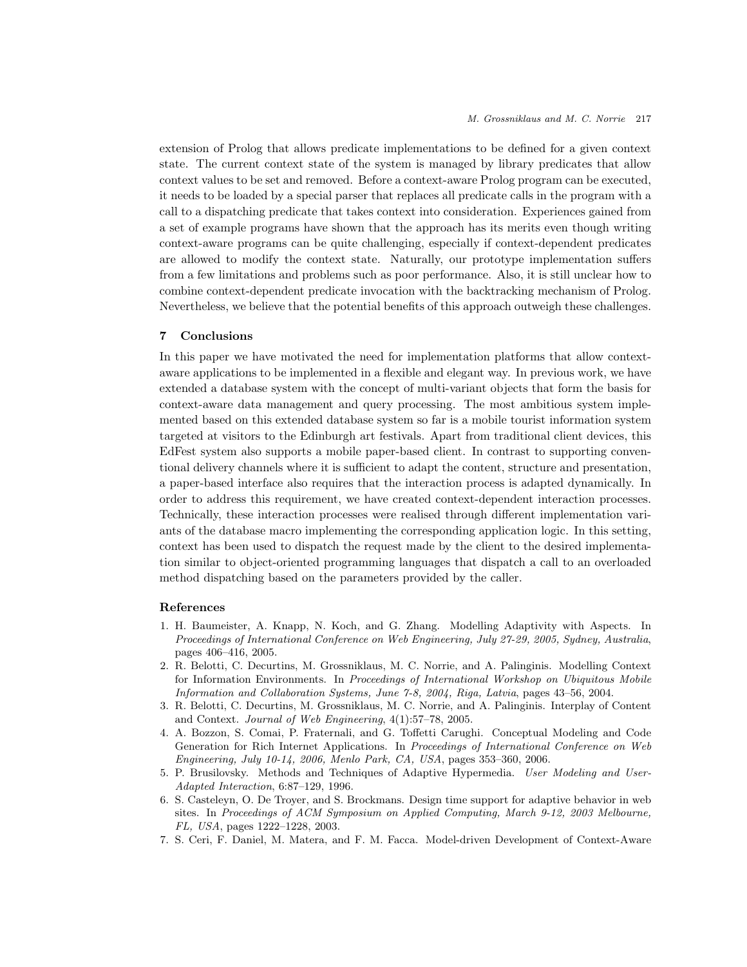extension of Prolog that allows predicate implementations to be defined for a given context state. The current context state of the system is managed by library predicates that allow context values to be set and removed. Before a context-aware Prolog program can be executed, it needs to be loaded by a special parser that replaces all predicate calls in the program with a call to a dispatching predicate that takes context into consideration. Experiences gained from a set of example programs have shown that the approach has its merits even though writing context-aware programs can be quite challenging, especially if context-dependent predicates are allowed to modify the context state. Naturally, our prototype implementation suffers from a few limitations and problems such as poor performance. Also, it is still unclear how to combine context-dependent predicate invocation with the backtracking mechanism of Prolog. Nevertheless, we believe that the potential benefits of this approach outweigh these challenges.

### 7 Conclusions

In this paper we have motivated the need for implementation platforms that allow contextaware applications to be implemented in a flexible and elegant way. In previous work, we have extended a database system with the concept of multi-variant objects that form the basis for context-aware data management and query processing. The most ambitious system implemented based on this extended database system so far is a mobile tourist information system targeted at visitors to the Edinburgh art festivals. Apart from traditional client devices, this EdFest system also supports a mobile paper-based client. In contrast to supporting conventional delivery channels where it is sufficient to adapt the content, structure and presentation, a paper-based interface also requires that the interaction process is adapted dynamically. In order to address this requirement, we have created context-dependent interaction processes. Technically, these interaction processes were realised through different implementation variants of the database macro implementing the corresponding application logic. In this setting, context has been used to dispatch the request made by the client to the desired implementation similar to object-oriented programming languages that dispatch a call to an overloaded method dispatching based on the parameters provided by the caller.

### References

- 1. H. Baumeister, A. Knapp, N. Koch, and G. Zhang. Modelling Adaptivity with Aspects. In Proceedings of International Conference on Web Engineering, July 27-29, 2005, Sydney, Australia, pages 406–416, 2005.
- 2. R. Belotti, C. Decurtins, M. Grossniklaus, M. C. Norrie, and A. Palinginis. Modelling Context for Information Environments. In Proceedings of International Workshop on Ubiquitous Mobile Information and Collaboration Systems, June 7-8, 2004, Riga, Latvia, pages 43–56, 2004.
- 3. R. Belotti, C. Decurtins, M. Grossniklaus, M. C. Norrie, and A. Palinginis. Interplay of Content and Context. Journal of Web Engineering, 4(1):57–78, 2005.
- 4. A. Bozzon, S. Comai, P. Fraternali, and G. Toffetti Carughi. Conceptual Modeling and Code Generation for Rich Internet Applications. In Proceedings of International Conference on Web Engineering, July 10-14, 2006, Menlo Park, CA, USA, pages 353–360, 2006.
- 5. P. Brusilovsky. Methods and Techniques of Adaptive Hypermedia. User Modeling and User-Adapted Interaction, 6:87–129, 1996.
- 6. S. Casteleyn, O. De Troyer, and S. Brockmans. Design time support for adaptive behavior in web sites. In Proceedings of ACM Symposium on Applied Computing, March 9-12, 2003 Melbourne, FL, USA, pages 1222–1228, 2003.
- 7. S. Ceri, F. Daniel, M. Matera, and F. M. Facca. Model-driven Development of Context-Aware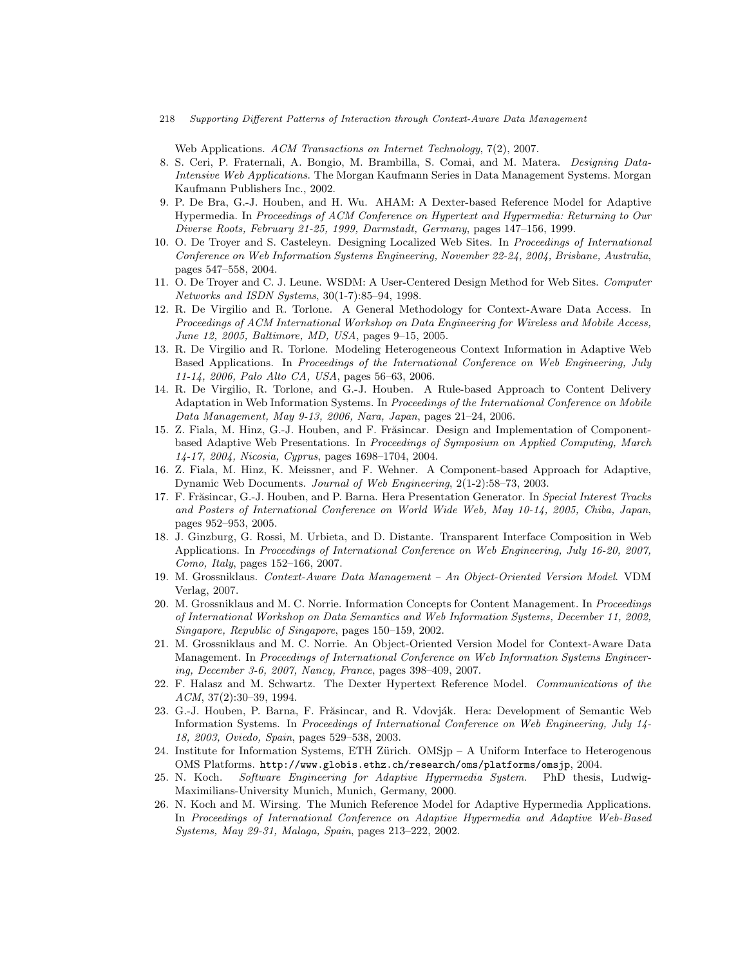Web Applications. ACM Transactions on Internet Technology, 7(2), 2007.

- 8. S. Ceri, P. Fraternali, A. Bongio, M. Brambilla, S. Comai, and M. Matera. Designing Data-Intensive Web Applications. The Morgan Kaufmann Series in Data Management Systems. Morgan Kaufmann Publishers Inc., 2002.
- 9. P. De Bra, G.-J. Houben, and H. Wu. AHAM: A Dexter-based Reference Model for Adaptive Hypermedia. In Proceedings of ACM Conference on Hypertext and Hypermedia: Returning to Our Diverse Roots, February 21-25, 1999, Darmstadt, Germany, pages 147–156, 1999.
- 10. O. De Troyer and S. Casteleyn. Designing Localized Web Sites. In Proceedings of International Conference on Web Information Systems Engineering, November 22-24, 2004, Brisbane, Australia, pages 547–558, 2004.
- 11. O. De Troyer and C. J. Leune. WSDM: A User-Centered Design Method for Web Sites. Computer Networks and ISDN Systems, 30(1-7):85–94, 1998.
- 12. R. De Virgilio and R. Torlone. A General Methodology for Context-Aware Data Access. In Proceedings of ACM International Workshop on Data Engineering for Wireless and Mobile Access, June 12, 2005, Baltimore, MD, USA, pages 9–15, 2005.
- 13. R. De Virgilio and R. Torlone. Modeling Heterogeneous Context Information in Adaptive Web Based Applications. In Proceedings of the International Conference on Web Engineering, July 11-14, 2006, Palo Alto CA, USA, pages 56–63, 2006.
- 14. R. De Virgilio, R. Torlone, and G.-J. Houben. A Rule-based Approach to Content Delivery Adaptation in Web Information Systems. In Proceedings of the International Conference on Mobile Data Management, May 9-13, 2006, Nara, Japan, pages 21–24, 2006.
- 15. Z. Fiala, M. Hinz, G.-J. Houben, and F. Frăsincar. Design and Implementation of Componentbased Adaptive Web Presentations. In Proceedings of Symposium on Applied Computing, March 14-17, 2004, Nicosia, Cyprus, pages 1698–1704, 2004.
- 16. Z. Fiala, M. Hinz, K. Meissner, and F. Wehner. A Component-based Approach for Adaptive, Dynamic Web Documents. Journal of Web Engineering, 2(1-2):58–73, 2003.
- 17. F. Frăsincar, G.-J. Houben, and P. Barna. Hera Presentation Generator. In Special Interest Tracks and Posters of International Conference on World Wide Web, May 10-14, 2005, Chiba, Japan, pages 952–953, 2005.
- 18. J. Ginzburg, G. Rossi, M. Urbieta, and D. Distante. Transparent Interface Composition in Web Applications. In Proceedings of International Conference on Web Engineering, July 16-20, 2007, Como, Italy, pages 152–166, 2007.
- 19. M. Grossniklaus. Context-Aware Data Management An Object-Oriented Version Model. VDM Verlag, 2007.
- 20. M. Grossniklaus and M. C. Norrie. Information Concepts for Content Management. In Proceedings of International Workshop on Data Semantics and Web Information Systems, December 11, 2002, Singapore, Republic of Singapore, pages 150–159, 2002.
- 21. M. Grossniklaus and M. C. Norrie. An Object-Oriented Version Model for Context-Aware Data Management. In Proceedings of International Conference on Web Information Systems Engineering, December 3-6, 2007, Nancy, France, pages 398–409, 2007.
- 22. F. Halasz and M. Schwartz. The Dexter Hypertext Reference Model. Communications of the ACM, 37(2):30–39, 1994.
- 23. G.-J. Houben, P. Barna, F. Frăsincar, and R. Vdovják. Hera: Development of Semantic Web Information Systems. In Proceedings of International Conference on Web Engineering, July 14- 18, 2003, Oviedo, Spain, pages 529–538, 2003.
- 24. Institute for Information Systems, ETH Zürich. OMSjp A Uniform Interface to Heterogenous OMS Platforms. http://www.globis.ethz.ch/research/oms/platforms/omsjp, 2004.
- 25. N. Koch. Software Engineering for Adaptive Hypermedia System. PhD thesis, Ludwig-Maximilians-University Munich, Munich, Germany, 2000.
- 26. N. Koch and M. Wirsing. The Munich Reference Model for Adaptive Hypermedia Applications. In Proceedings of International Conference on Adaptive Hypermedia and Adaptive Web-Based Systems, May 29-31, Malaga, Spain, pages 213–222, 2002.